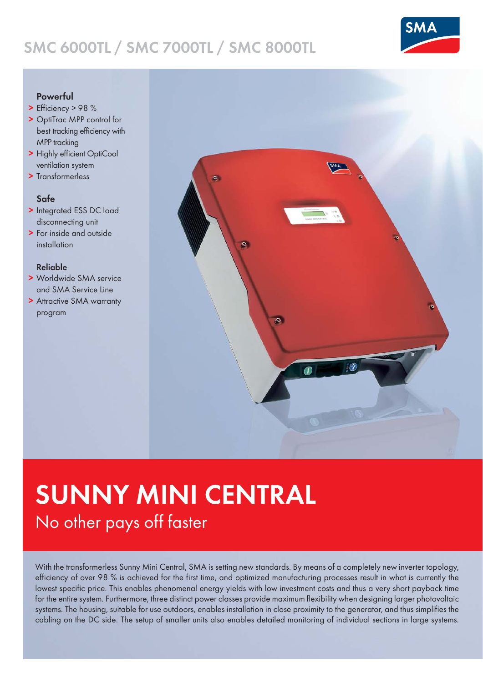## SMC 6000TL / SMC 7000TL / SMC 8000TL



## Powerful

- > Efficiency > 98 %
- > OptiTrac MPP control for best tracking efficiency with MPP tracking
- > Highly efficient OptiCool ventilation system
- > Transformerless

## Safe

- > Integrated ESS DC load disconnecting unit
- > For inside and outside installation

#### Reliable

- > Worldwide SMA service and SMA Service Line
- > Attractive SMA warranty program



# SUNNY MINI CENTRAL No other pays off faster

With the transformerless Sunny Mini Central, SMA is setting new standards. By means of a completely new inverter topology, efficiency of over 98 % is achieved for the first time, and optimized manufacturing processes result in what is currently the lowest specific price. This enables phenomenal energy yields with low investment costs and thus a very short payback time for the entire system. Furthermore, three distinct power classes provide maximum flexibility when designing larger photovoltaic systems. The housing, suitable for use outdoors, enables installation in close proximity to the generator, and thus simplifies the cabling on the DC side. The setup of smaller units also enables detailed monitoring of individual sections in large systems.